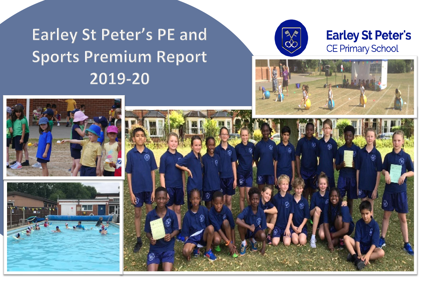## Earley St Peter's PE and **Sports Premium Report** 2019-20



## **Earley St Peter's** CE Primary School





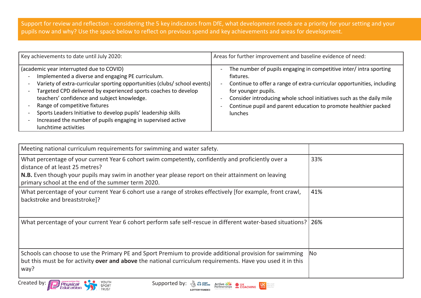Support for review and reflection - considering the 5 key indicators from DfE, what development needs are a priority for your setting and your pupils now and why? Use the space below to reflect on previous spend and key achievements and areas for development.

| Key achievements to date until July 2020:                                                                                                                                                                                                                                                                                                                                                                                                                                               | Areas for further improvement and baseline evidence of need:                                                                                                                                                                                                                                                                                            |
|-----------------------------------------------------------------------------------------------------------------------------------------------------------------------------------------------------------------------------------------------------------------------------------------------------------------------------------------------------------------------------------------------------------------------------------------------------------------------------------------|---------------------------------------------------------------------------------------------------------------------------------------------------------------------------------------------------------------------------------------------------------------------------------------------------------------------------------------------------------|
| (academic year interrupted due to COVID)<br>Implemented a diverse and engaging PE curriculum.<br>Variety of extra-curricular sporting opportunities (clubs/ school events)<br>Targeted CPD delivered by experienced sports coaches to develop<br>teachers' confidence and subject knowledge.<br>Range of competitive fixtures<br>Sports Leaders Initiative to develop pupils' leadership skills<br>Increased the number of pupils engaging in supervised active<br>lunchtime activities | The number of pupils engaging in competitive inter/ intra sporting<br>fixtures.<br>Continue to offer a range of extra-curricular opportunities, including<br>$\sim$<br>for younger pupils.<br>Consider introducing whole school initiatives such as the daily mile<br>Continue pupil and parent education to promote healthier packed<br><b>lunches</b> |

| Meeting national curriculum requirements for swimming and water safety.                                                                                                                                                                                                                            |           |
|----------------------------------------------------------------------------------------------------------------------------------------------------------------------------------------------------------------------------------------------------------------------------------------------------|-----------|
| What percentage of your current Year 6 cohort swim competently, confidently and proficiently over a<br>distance of at least 25 metres?<br>N.B. Even though your pupils may swim in another year please report on their attainment on leaving<br>primary school at the end of the summer term 2020. | 33%       |
| What percentage of your current Year 6 cohort use a range of strokes effectively [for example, front crawl,<br>backstroke and breaststroke]?                                                                                                                                                       | 41%       |
| What percentage of your current Year 6 cohort perform safe self-rescue in different water-based situations? 26%                                                                                                                                                                                    |           |
| Schools can choose to use the Primary PE and Sport Premium to provide additional provision for swimming<br>but this must be for activity over and above the national curriculum requirements. Have you used it in this<br>way?                                                                     | <b>No</b> |

**Lettive** Mare and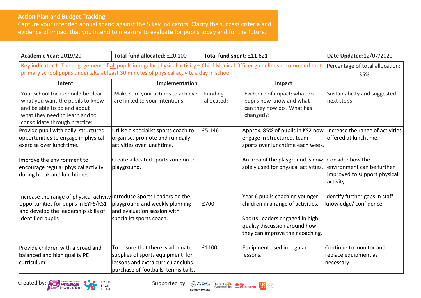## **Action Plan and Budget Tracking**

Capture your intended annual spend against the 5 key indicators. Clarify the success criteria and evidence of impact that you intend to measure to evaluate for pupils today and for the future.

| Academic Year: 2019/20                                                                                                                                                       | Total fund allocated: £20,100                                                                                                                         | Total fund spent: £11,621 |                                                                                                                                                                             | Date Updated:12/07/2020                                                                     |
|------------------------------------------------------------------------------------------------------------------------------------------------------------------------------|-------------------------------------------------------------------------------------------------------------------------------------------------------|---------------------------|-----------------------------------------------------------------------------------------------------------------------------------------------------------------------------|---------------------------------------------------------------------------------------------|
| Key indicator 1: The engagement of all pupils in regular physical activity - Chief Medical Officer guidelines recommend that                                                 |                                                                                                                                                       |                           |                                                                                                                                                                             | Percentage of total allocation:                                                             |
|                                                                                                                                                                              | primary school pupils undertake at least 30 minutes of physical activity a day in school                                                              |                           |                                                                                                                                                                             |                                                                                             |
| Intent                                                                                                                                                                       | Implementation                                                                                                                                        |                           | Impact                                                                                                                                                                      |                                                                                             |
| Your school focus should be clear<br>what you want the pupils to know<br>and be able to do and about<br>what they need to learn and to<br>consolidate through practice:      | Make sure your actions to achieve<br>are linked to your intentions:                                                                                   | Funding<br>allocated:     | Evidence of impact: what do<br>pupils now know and what<br>can they now do? What has<br>changed?:                                                                           | Sustainability and suggested<br>next steps:                                                 |
| Provide pupil with daily, structured<br>opportunities to engage in physical<br>lexercise over Iunchtime.                                                                     | Utilise a specialist sports coach to<br>organise, promote and run daily<br>lactivities over lunchtime.                                                | £5,146                    | Approx. 85% of pupils in KS2 now<br>engage in structured, team<br>sports over lunchtime each week.                                                                          | Increase the range of activities<br>offered at lunchtime.                                   |
| Improve the environment to<br>encourage regular physical activity<br>during break and lunchtimes.                                                                            | Create allocated sports zone on the<br>playground.                                                                                                    |                           | An area of the playground is now<br>solely used for physical activities.                                                                                                    | Consider how the<br>environment can be further<br>improved to support physical<br>activity. |
| Increase the range of physical activity Introduce Sports Leaders on the<br>opportunities for pupils in EYFS/KS1<br>and develop the leadership skills of<br>identified pupils | playground and weekly planning<br>land evaluation session with<br>specialist sports coach.                                                            | £700                      | Year 6 pupils coaching younger<br>children in a range of activities.<br>Sports Leaders engaged in high<br>quality discussion around how<br>they can improve their coaching. | Identify further gaps in staff<br>knowledge/confidence.                                     |
| Provide children with a broad and<br>balanced and high quality PE<br>curriculum.                                                                                             | To ensure that there is adequate<br>supplies of sports equipment for<br>lessons and extra curricular clubs -<br>purchase of footballs, tennis balls,, | £1100                     | Equipment used in regular<br>llessons.                                                                                                                                      | Continue to monitor and<br>replace equipment as<br>necessary.                               |

Created by: **Contract of the Supported by:**  $\frac{1}{2}$  Contract Business Contract Business Contract Business Contract Business Contract Business Contract Business Contract Business Contract Business Contract Business Contra



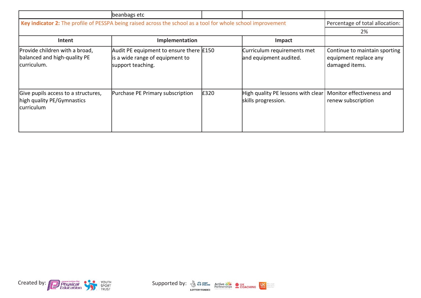|                                                                                                              | beanbags etc                                                                                      |      |                                                           |                                                                          |
|--------------------------------------------------------------------------------------------------------------|---------------------------------------------------------------------------------------------------|------|-----------------------------------------------------------|--------------------------------------------------------------------------|
| Key indicator 2: The profile of PESSPA being raised across the school as a tool for whole school improvement |                                                                                                   |      |                                                           | Percentage of total allocation:                                          |
|                                                                                                              |                                                                                                   |      |                                                           | 2%                                                                       |
| Intent                                                                                                       | Implementation                                                                                    |      | <b>Impact</b>                                             |                                                                          |
| Provide children with a broad,<br>balanced and high-quality PE<br>curriculum.                                | Audit PE equipment to ensure there $£150$<br>is a wide range of equipment to<br>support teaching. |      | Curriculum requirements met<br>and equipment audited.     | Continue to maintain sporting<br>equipment replace any<br>damaged items. |
| Give pupils access to a structures,<br>high quality PE/Gymnastics<br><b>curriculum</b>                       | Purchase PE Primary subscription                                                                  | £320 | High quality PE lessons with clear<br>skills progression. | Monitor effectiveness and<br>renew subscription                          |



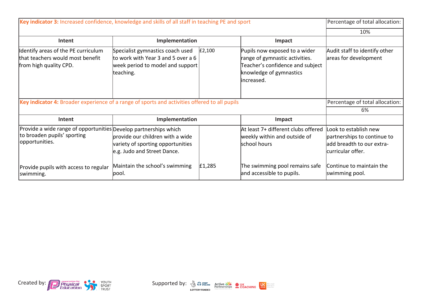| Key indicator 3: Increased confidence, knowledge and skills of all staff in teaching PE and sport                 |                                                                                                                         |        |                                                                                                                                              | Percentage of total allocation:                                                                        |
|-------------------------------------------------------------------------------------------------------------------|-------------------------------------------------------------------------------------------------------------------------|--------|----------------------------------------------------------------------------------------------------------------------------------------------|--------------------------------------------------------------------------------------------------------|
|                                                                                                                   |                                                                                                                         |        |                                                                                                                                              | 10%                                                                                                    |
| Intent                                                                                                            | Implementation                                                                                                          |        | Impact                                                                                                                                       |                                                                                                        |
| Identify areas of the PE curriculum<br>that teachers would most benefit<br>from high quality CPD.                 | Specialist gymnastics coach used<br>to work with Year 3 and 5 over a 6<br>week period to model and support<br>teaching. | E2,100 | Pupils now exposed to a wider<br>range of gymnastic activities.<br>Teacher's confidence and subject<br>knowledge of gymnastics<br>increased. | Audit staff to identify other<br>areas for development                                                 |
| Key indicator 4: Broader experience of a range of sports and activities offered to all pupils                     |                                                                                                                         |        |                                                                                                                                              | Percentage of total allocation:                                                                        |
|                                                                                                                   |                                                                                                                         |        |                                                                                                                                              | 6%                                                                                                     |
| Intent                                                                                                            | Implementation                                                                                                          |        | Impact                                                                                                                                       |                                                                                                        |
| Provide a wide range of opportunities Develop partnerships which<br>to broaden pupils' sporting<br>opportunities. | provide our children with a wide<br>variety of sporting opportunities                                                   |        | At least 7+ different clubs offered<br>weekly within and outside of<br>school hours                                                          | Look to establish new<br>partnerships to continue to<br>add breadth to our extra-<br>curricular offer. |
|                                                                                                                   | e.g. Judo and Street Dance.                                                                                             |        |                                                                                                                                              |                                                                                                        |